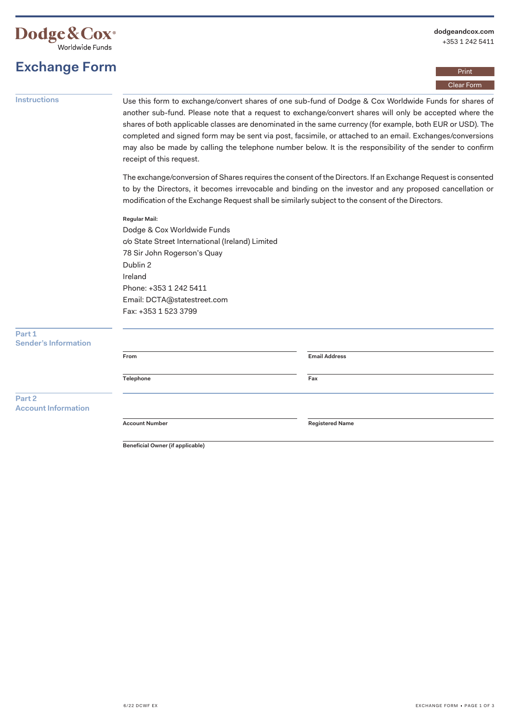

# **Exchange Form**

### Print Clear Form

**Instructions** Use this form to exchange/convert shares of one sub-fund of Dodge & Cox Worldwide Funds for shares of another sub-fund. Please note that a request to exchange/convert shares will only be accepted where the shares of both applicable classes are denominated in the same currency (for example, both EUR or USD). The completed and signed form may be sent via post, facsimile, or attached to an email. Exchanges/conversions may also be made by calling the telephone number below. It is the responsibility of the sender to confirm receipt of this request.

> The exchange/conversion of Shares requires the consent of the Directors. If an Exchange Request is consented to by the Directors, it becomes irrevocable and binding on the investor and any proposed cancellation or modification of the Exchange Request shall be similarly subject to the consent of the Directors.

#### **Regular Mail:**

Dodge & Cox Worldwide Funds c/o State Street International (Ireland) Limited 78 Sir John Rogerson's Quay Dublin 2 Ireland Phone: +353 1 242 5411 Email: [DCTA@statestreet.com](mailto:DCTA@statestreet.com)  Fax: +353 1 523 3799

| Part 1<br><b>Sender's Information</b> |                       |                        |  |
|---------------------------------------|-----------------------|------------------------|--|
|                                       | From                  | <b>Email Address</b>   |  |
|                                       | Telephone             | Fax                    |  |
| Part 2<br><b>Account Information</b>  |                       |                        |  |
|                                       | <b>Account Number</b> | <b>Registered Name</b> |  |

**Beneficial Owner (if applicable)**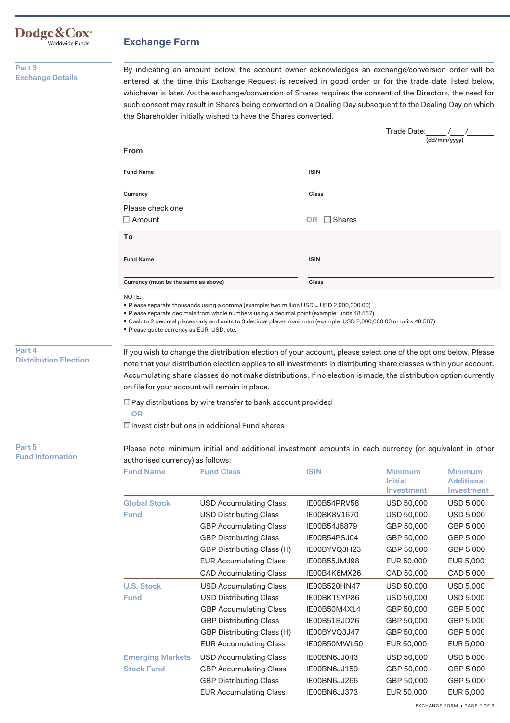## **Exchange Form**

**Part 3 Exchange Details** 

Dodge&Cox<sup>®</sup><br>Worldwide Funds

By indicating an amount below, the account owner acknowledges an exchange/conversion order will be entered at the time this Exchange Request is received in good order or for the trade date listed below, whichever is later. As the exchange/conversion of Shares requires the consent of the Directors, the need for such consent may result in Shares being converted on a Dealing Day subsequent to the Dealing Day on which the Shareholder initially wished to have the Shares converted.

|                                        |                                                    |                                                                                                                                                                                                                                                                                                                                                                                                            |                  | Trade Date:                             |                                                   |
|----------------------------------------|----------------------------------------------------|------------------------------------------------------------------------------------------------------------------------------------------------------------------------------------------------------------------------------------------------------------------------------------------------------------------------------------------------------------------------------------------------------------|------------------|-----------------------------------------|---------------------------------------------------|
|                                        |                                                    |                                                                                                                                                                                                                                                                                                                                                                                                            |                  |                                         | (dd/mm/yyyy)                                      |
|                                        | From                                               |                                                                                                                                                                                                                                                                                                                                                                                                            |                  |                                         |                                                   |
|                                        | <b>Fund Name</b>                                   |                                                                                                                                                                                                                                                                                                                                                                                                            | <b>ISIN</b>      |                                         |                                                   |
|                                        | Currency                                           |                                                                                                                                                                                                                                                                                                                                                                                                            | Class            |                                         |                                                   |
|                                        | Please check one                                   |                                                                                                                                                                                                                                                                                                                                                                                                            |                  |                                         |                                                   |
|                                        | $\Box$ Amount                                      |                                                                                                                                                                                                                                                                                                                                                                                                            | OR $\Box$ Shares |                                         |                                                   |
|                                        | To                                                 |                                                                                                                                                                                                                                                                                                                                                                                                            |                  |                                         |                                                   |
|                                        |                                                    |                                                                                                                                                                                                                                                                                                                                                                                                            |                  |                                         |                                                   |
|                                        | <b>Fund Name</b>                                   |                                                                                                                                                                                                                                                                                                                                                                                                            | <b>ISIN</b>      |                                         |                                                   |
|                                        | Currency (must be the same as above)               |                                                                                                                                                                                                                                                                                                                                                                                                            | Class            |                                         |                                                   |
|                                        | NOTE:<br>- Please quote currency as EUR, USD, etc. | ■ Please separate thousands using a comma (example: two million USD = USD 2,000,000.00)<br>Please separate decimals from whole numbers using a decimal point (example: units 48.567)<br>" Cash to 2 decimal places only and units to 3 decimal places maximum (example: USD 2,000,000.00 or units 48.567)                                                                                                  |                  |                                         |                                                   |
| Part 4<br><b>Distribution Election</b> |                                                    | If you wish to change the distribution election of your account, please select one of the options below. Please<br>note that your distribution election applies to all investments in distributing share classes within your account.<br>Accumulating share classes do not make distributions. If no election is made, the distribution option currently<br>on file for your account will remain in place. |                  |                                         |                                                   |
|                                        | <b>OR</b>                                          | □ Pay distributions by wire transfer to bank account provided<br>$\Box$ Invest distributions in additional Fund shares                                                                                                                                                                                                                                                                                     |                  |                                         |                                                   |
| Part 5<br><b>Fund Information</b>      | authorised currency) as follows:                   | Please note minimum initial and additional investment amounts in each currency (or equivalent in other                                                                                                                                                                                                                                                                                                     |                  |                                         |                                                   |
|                                        | <b>Fund Name</b>                                   | <b>Fund Class</b>                                                                                                                                                                                                                                                                                                                                                                                          | <b>ISIN</b>      | <b>Minimum</b><br>Initial<br>Investment | <b>Minimum</b><br><b>Additional</b><br>Investment |
|                                        | <b>Global Stock</b>                                | <b>USD Accumulating Class</b>                                                                                                                                                                                                                                                                                                                                                                              | IE00B54PRV58     | <b>USD 50,000</b>                       | <b>USD 5,000</b>                                  |
|                                        | <b>Fund</b>                                        | <b>USD Distributing Class</b>                                                                                                                                                                                                                                                                                                                                                                              | IE00BK8V1670     | USD 50,000                              | <b>USD 5,000</b>                                  |
|                                        |                                                    | <b>GBP Accumulating Class</b>                                                                                                                                                                                                                                                                                                                                                                              | IE00B54J6879     | GBP 50,000                              | GBP 5,000                                         |
|                                        |                                                    | <b>GBP Distributing Class</b>                                                                                                                                                                                                                                                                                                                                                                              | IE00B54PSJ04     | GBP 50,000                              | GBP 5,000                                         |
|                                        |                                                    | GBP Distributing Class (H)                                                                                                                                                                                                                                                                                                                                                                                 | IE00BYVQ3H23     | GBP 50,000                              | GBP 5,000                                         |
|                                        |                                                    | <b>EUR Accumulating Class</b>                                                                                                                                                                                                                                                                                                                                                                              | IE00B55JMJ98     | EUR 50,000                              | EUR 5,000                                         |
|                                        |                                                    | <b>CAD Accumulating Class</b>                                                                                                                                                                                                                                                                                                                                                                              | IE00B4K6MX26     | CAD 50,000                              | CAD 5,000                                         |
|                                        | <b>U.S. Stock</b>                                  | <b>USD Accumulating Class</b>                                                                                                                                                                                                                                                                                                                                                                              | IE00B520HN47     | <b>USD 50,000</b>                       | <b>USD 5,000</b>                                  |
|                                        | <b>Fund</b>                                        | <b>USD Distributing Class</b>                                                                                                                                                                                                                                                                                                                                                                              | IE00BKT5YP86     | USD 50,000                              | <b>USD 5,000</b>                                  |
|                                        |                                                    | <b>GBP Accumulating Class</b>                                                                                                                                                                                                                                                                                                                                                                              | IE00B50M4X14     | GBP 50,000                              | GBP 5,000                                         |
|                                        |                                                    | <b>GBP Distributing Class</b>                                                                                                                                                                                                                                                                                                                                                                              | IE00B51BJD26     | GBP 50,000                              | GBP 5,000                                         |
|                                        |                                                    | GBP Distributing Class (H)                                                                                                                                                                                                                                                                                                                                                                                 | IE00BYVQ3J47     | GBP 50,000                              | GBP 5,000                                         |
|                                        |                                                    | <b>EUR Accumulating Class</b>                                                                                                                                                                                                                                                                                                                                                                              | IE00B50MWL50     | EUR 50,000                              | EUR 5,000                                         |
|                                        |                                                    |                                                                                                                                                                                                                                                                                                                                                                                                            |                  |                                         |                                                   |
|                                        | <b>Emerging Markets</b>                            | <b>USD Accumulating Class</b>                                                                                                                                                                                                                                                                                                                                                                              | IE00BN6JJ043     | USD 50,000                              | <b>USD 5,000</b>                                  |
|                                        | <b>Stock Fund</b>                                  | <b>GBP Accumulating Class</b>                                                                                                                                                                                                                                                                                                                                                                              | IE00BN6JJ159     | GBP 50,000                              | GBP 5,000                                         |
|                                        |                                                    | <b>GBP Distributing Class</b>                                                                                                                                                                                                                                                                                                                                                                              | IE00BN6JJ266     | GBP 50,000                              | GBP 5,000                                         |
|                                        |                                                    | <b>EUR Accumulating Class</b>                                                                                                                                                                                                                                                                                                                                                                              | IE00BN6JJ373     | EUR 50,000                              | EUR 5,000                                         |